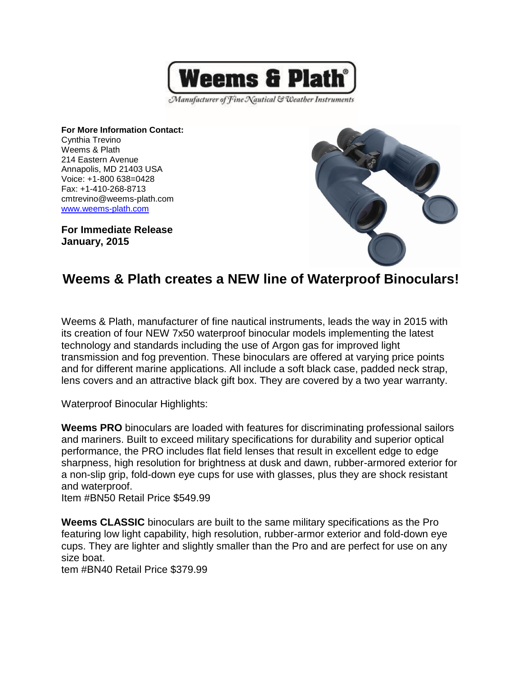

Manufacturer of Fine Nautical & Weather Instruments

**For More Information Contact:** Cynthia Trevino Weems & Plath 214 Eastern Avenue Annapolis, MD 21403 USA Voice: +1-800 638=0428 Fax: +1-410-268-8713 cmtrevino@weems-plath.com [www.weems-plath.com](http://www.weems-plath.com/)

**For Immediate Release January, 2015**



## **Weems & Plath creates a NEW line of Waterproof Binoculars!**

Weems & Plath, manufacturer of fine nautical instruments, leads the way in 2015 with its creation of four NEW 7x50 waterproof binocular models implementing the latest technology and standards including the use of Argon gas for improved light transmission and fog prevention. These binoculars are offered at varying price points and for different marine applications. All include a soft black case, padded neck strap, lens covers and an attractive black gift box. They are covered by a two year warranty.

Waterproof Binocular Highlights:

**Weems PRO** binoculars are loaded with features for discriminating professional sailors and mariners. Built to exceed military specifications for durability and superior optical performance, the PRO includes flat field lenses that result in excellent edge to edge sharpness, high resolution for brightness at dusk and dawn, rubber-armored exterior for a non-slip grip, fold-down eye cups for use with glasses, plus they are shock resistant and waterproof.

Item #BN50 Retail Price \$549.99

**Weems CLASSIC** binoculars are built to the same military specifications as the Pro featuring low light capability, high resolution, rubber-armor exterior and fold-down eye cups. They are lighter and slightly smaller than the Pro and are perfect for use on any size boat.

tem #BN40 Retail Price \$379.99